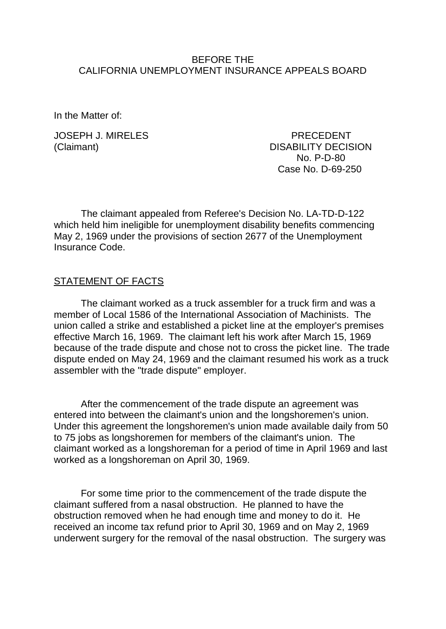#### BEFORE THE CALIFORNIA UNEMPLOYMENT INSURANCE APPEALS BOARD

In the Matter of:

JOSEPH J. MIRELES PRECEDENT

(Claimant) DISABILITY DECISION No. P-D-80 Case No. D-69-250

The claimant appealed from Referee's Decision No. LA-TD-D-122 which held him ineligible for unemployment disability benefits commencing May 2, 1969 under the provisions of section 2677 of the Unemployment Insurance Code.

### STATEMENT OF FACTS

The claimant worked as a truck assembler for a truck firm and was a member of Local 1586 of the International Association of Machinists. The union called a strike and established a picket line at the employer's premises effective March 16, 1969. The claimant left his work after March 15, 1969 because of the trade dispute and chose not to cross the picket line. The trade dispute ended on May 24, 1969 and the claimant resumed his work as a truck assembler with the "trade dispute" employer.

After the commencement of the trade dispute an agreement was entered into between the claimant's union and the longshoremen's union. Under this agreement the longshoremen's union made available daily from 50 to 75 jobs as longshoremen for members of the claimant's union. The claimant worked as a longshoreman for a period of time in April 1969 and last worked as a longshoreman on April 30, 1969.

For some time prior to the commencement of the trade dispute the claimant suffered from a nasal obstruction. He planned to have the obstruction removed when he had enough time and money to do it. He received an income tax refund prior to April 30, 1969 and on May 2, 1969 underwent surgery for the removal of the nasal obstruction. The surgery was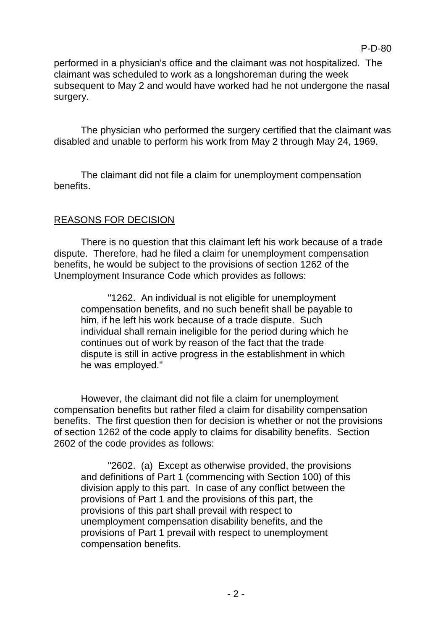performed in a physician's office and the claimant was not hospitalized. The claimant was scheduled to work as a longshoreman during the week subsequent to May 2 and would have worked had he not undergone the nasal surgery.

The physician who performed the surgery certified that the claimant was disabled and unable to perform his work from May 2 through May 24, 1969.

The claimant did not file a claim for unemployment compensation benefits.

## REASONS FOR DECISION

There is no question that this claimant left his work because of a trade dispute. Therefore, had he filed a claim for unemployment compensation benefits, he would be subject to the provisions of section 1262 of the Unemployment Insurance Code which provides as follows:

"1262. An individual is not eligible for unemployment compensation benefits, and no such benefit shall be payable to him, if he left his work because of a trade dispute. Such individual shall remain ineligible for the period during which he continues out of work by reason of the fact that the trade dispute is still in active progress in the establishment in which he was employed."

However, the claimant did not file a claim for unemployment compensation benefits but rather filed a claim for disability compensation benefits. The first question then for decision is whether or not the provisions of section 1262 of the code apply to claims for disability benefits. Section 2602 of the code provides as follows:

"2602. (a) Except as otherwise provided, the provisions and definitions of Part 1 (commencing with Section 100) of this division apply to this part. In case of any conflict between the provisions of Part 1 and the provisions of this part, the provisions of this part shall prevail with respect to unemployment compensation disability benefits, and the provisions of Part 1 prevail with respect to unemployment compensation benefits.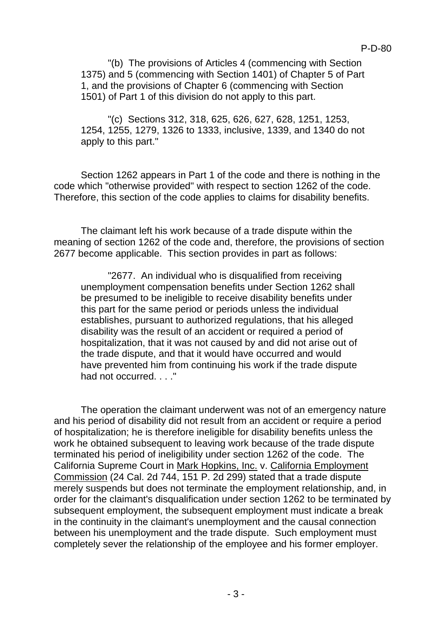"(b) The provisions of Articles 4 (commencing with Section 1375) and 5 (commencing with Section 1401) of Chapter 5 of Part 1, and the provisions of Chapter 6 (commencing with Section 1501) of Part 1 of this division do not apply to this part.

"(c) Sections 312, 318, 625, 626, 627, 628, 1251, 1253, 1254, 1255, 1279, 1326 to 1333, inclusive, 1339, and 1340 do not apply to this part."

Section 1262 appears in Part 1 of the code and there is nothing in the code which "otherwise provided" with respect to section 1262 of the code. Therefore, this section of the code applies to claims for disability benefits.

The claimant left his work because of a trade dispute within the meaning of section 1262 of the code and, therefore, the provisions of section 2677 become applicable. This section provides in part as follows:

"2677. An individual who is disqualified from receiving unemployment compensation benefits under Section 1262 shall be presumed to be ineligible to receive disability benefits under this part for the same period or periods unless the individual establishes, pursuant to authorized regulations, that his alleged disability was the result of an accident or required a period of hospitalization, that it was not caused by and did not arise out of the trade dispute, and that it would have occurred and would have prevented him from continuing his work if the trade dispute had not occurred. . . . "

The operation the claimant underwent was not of an emergency nature and his period of disability did not result from an accident or require a period of hospitalization; he is therefore ineligible for disability benefits unless the work he obtained subsequent to leaving work because of the trade dispute terminated his period of ineligibility under section 1262 of the code. The California Supreme Court in Mark Hopkins, Inc. v. California Employment Commission (24 Cal. 2d 744, 151 P. 2d 299) stated that a trade dispute merely suspends but does not terminate the employment relationship, and, in order for the claimant's disqualification under section 1262 to be terminated by subsequent employment, the subsequent employment must indicate a break in the continuity in the claimant's unemployment and the causal connection between his unemployment and the trade dispute. Such employment must completely sever the relationship of the employee and his former employer.